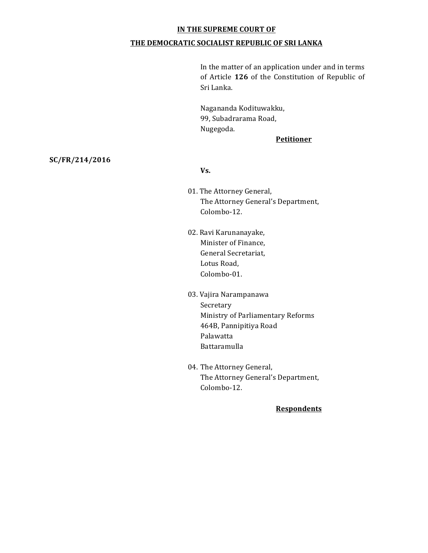#### **IN THE SUPREME COURT OF**

#### **THE DEMOCRATIC SOCIALIST REPUBLIC OF SRI LANKA**

In the matter of an application under and in terms of Article 126 of the Constitution of Republic of Sri Lanka.

Nagananda Kodituwakku, 99, Subadrarama Road, Nugegoda.

#### **Petitioner**

## **SC/FR/214/2016**

#### **Vs.**

- 01. The Attorney General, The Attorney General's Department, Colombo-12.
- 02. Ravi Karunanayake, Minister of Finance, General Secretariat, Lotus Road, Colombo-01.
- 03. Vajira Narampanawa Secretary Ministry of Parliamentary Reforms 464B, Pannipitiya Road Palawatta Battaramulla
- 04. The Attorney General, The Attorney General's Department, Colombo-12.

# **Respondents**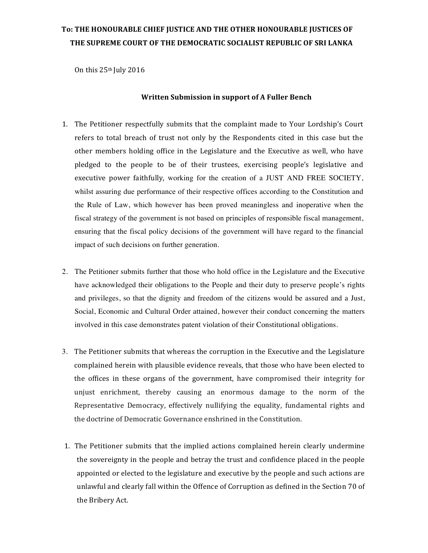# To: THE HONOURABLE CHIEF JUSTICE AND THE OTHER HONOURABLE JUSTICES OF THE SUPREME COURT OF THE DEMOCRATIC SOCIALIST REPUBLIC OF SRI LANKA

On this 25<sup>th</sup> July 2016

#### **Written Submission in support of A Fuller Bench**

- 1. The Petitioner respectfully submits that the complaint made to Your Lordship's Court refers to total breach of trust not only by the Respondents cited in this case but the other members holding office in the Legislature and the Executive as well, who have pledged to the people to be of their trustees, exercising people's legislative and executive power faithfully, working for the creation of a JUST AND FREE SOCIETY, whilst assuring due performance of their respective offices according to the Constitution and the Rule of Law, which however has been proved meaningless and inoperative when the fiscal strategy of the government is not based on principles of responsible fiscal management, ensuring that the fiscal policy decisions of the government will have regard to the financial impact of such decisions on further generation.
- 2. The Petitioner submits further that those who hold office in the Legislature and the Executive have acknowledged their obligations to the People and their duty to preserve people's rights and privileges, so that the dignity and freedom of the citizens would be assured and a Just, Social, Economic and Cultural Order attained, however their conduct concerning the matters involved in this case demonstrates patent violation of their Constitutional obligations.
- 3. The Petitioner submits that whereas the corruption in the Executive and the Legislature complained herein with plausible evidence reveals, that those who have been elected to the offices in these organs of the government, have compromised their integrity for unjust enrichment, thereby causing an enormous damage to the norm of the Representative Democracy, effectively nullifying the equality, fundamental rights and the doctrine of Democratic Governance enshrined in the Constitution.
- 1. The Petitioner submits that the implied actions complained herein clearly undermine the sovereignty in the people and betray the trust and confidence placed in the people appointed or elected to the legislature and executive by the people and such actions are unlawful and clearly fall within the Offence of Corruption as defined in the Section 70 of the Bribery Act.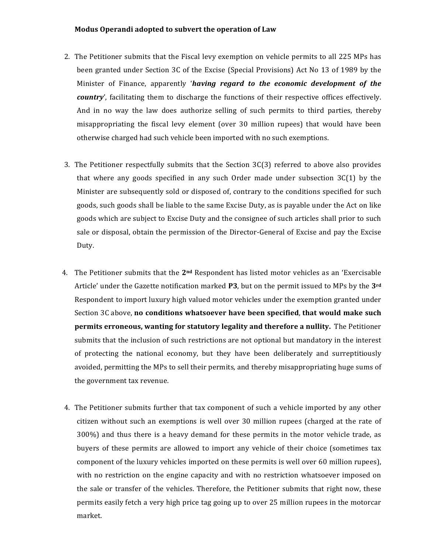#### **Modus Operandi adopted to subvert the operation of Law**

- 2. The Petitioner submits that the Fiscal levy exemption on vehicle permits to all 225 MPs has been granted under Section 3C of the Excise (Special Provisions) Act No 13 of 1989 by the Minister of Finance, apparently *'having regard to the economic development of the country'*, facilitating them to discharge the functions of their respective offices effectively. And in no way the law does authorize selling of such permits to third parties, thereby misappropriating the fiscal levy element (over 30 million rupees) that would have been otherwise charged had such vehicle been imported with no such exemptions.
- 3. The Petitioner respectfully submits that the Section  $3C(3)$  referred to above also provides that where any goods specified in any such Order made under subsection  $3C(1)$  by the Minister are subsequently sold or disposed of, contrary to the conditions specified for such goods, such goods shall be liable to the same Excise Duty, as is payable under the Act on like goods which are subject to Excise Duty and the consignee of such articles shall prior to such sale or disposal, obtain the permission of the Director-General of Excise and pay the Excise Duty.
- 4. The Petitioner submits that the 2<sup>nd</sup> Respondent has listed motor vehicles as an 'Exercisable Article' under the Gazette notification marked **P3**, but on the permit issued to MPs by the 3<sup>rd</sup> Respondent to import luxury high valued motor vehicles under the exemption granted under Section 3C above, **no conditions whatsoever have been specified**, that would make such **permits erroneous, wanting for statutory legality and therefore a nullity.** The Petitioner submits that the inclusion of such restrictions are not optional but mandatory in the interest of protecting the national economy, but they have been deliberately and surreptitiously avoided, permitting the MPs to sell their permits, and thereby misappropriating huge sums of the government tax revenue.
- 4. The Petitioner submits further that tax component of such a vehicle imported by any other citizen without such an exemptions is well over 30 million rupees (charged at the rate of  $300\%$ ) and thus there is a heavy demand for these permits in the motor vehicle trade, as buyers of these permits are allowed to import any vehicle of their choice (sometimes tax component of the luxury vehicles imported on these permits is well over 60 million rupees), with no restriction on the engine capacity and with no restriction whatsoever imposed on the sale or transfer of the vehicles. Therefore, the Petitioner submits that right now, these permits easily fetch a very high price tag going up to over 25 million rupees in the motorcar market.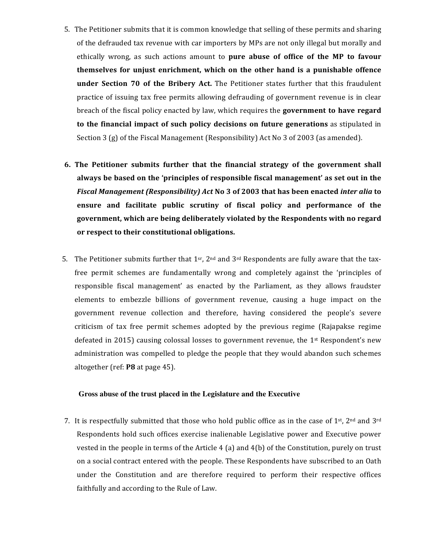- 5. The Petitioner submits that it is common knowledge that selling of these permits and sharing of the defrauded tax revenue with car importers by MPs are not only illegal but morally and ethically wrong, as such actions amount to **pure abuse of office of the MP to favour themselves for unjust enrichment, which on the other hand is a punishable offence under Section 70 of the Bribery Act.** The Petitioner states further that this fraudulent practice of issuing tax free permits allowing defrauding of government revenue is in clear breach of the fiscal policy enacted by law, which requires the **government to have regard to the financial impact of such policy decisions on future generations** as stipulated in Section  $3(g)$  of the Fiscal Management (Responsibility) Act No  $3$  of 2003 (as amended).
- **6.** The Petitioner submits further that the financial strategy of the government shall always be based on the 'principles of responsible fiscal management' as set out in the *Fiscal Management (Responsibility) Act* No 3 of 2003 that has been enacted *inter alia* to ensure and facilitate public scrutiny of fiscal policy and performance of the **government, which are being deliberately violated by the Respondents with no regard**  or respect to their constitutional obligations.
- 5. The Petitioner submits further that  $1^{sr}$ ,  $2^{nd}$  and  $3^{rd}$  Respondents are fully aware that the taxfree permit schemes are fundamentally wrong and completely against the 'principles of responsible fiscal management' as enacted by the Parliament, as they allows fraudster elements to embezzle billions of government revenue, causing a huge impact on the government revenue collection and therefore, having considered the people's severe criticism of tax free permit schemes adopted by the previous regime (Rajapakse regime defeated in 2015) causing colossal losses to government revenue, the  $1<sup>st</sup>$  Respondent's new administration was compelled to pledge the people that they would abandon such schemes altogether (ref: **P8** at page 45).

#### **Gross abuse of the trust placed in the Legislature and the Executive**

7. It is respectfully submitted that those who hold public office as in the case of  $1^{st}$ ,  $2^{nd}$  and  $3^{rd}$ Respondents hold such offices exercise inalienable Legislative power and Executive power vested in the people in terms of the Article  $4$  (a) and  $4(b)$  of the Constitution, purely on trust on a social contract entered with the people. These Respondents have subscribed to an Oath under the Constitution and are therefore required to perform their respective offices faithfully and according to the Rule of Law.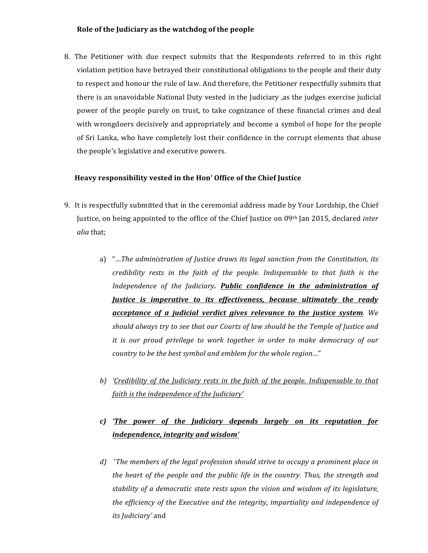### **Role of the Judiciary as the watchdog of the people**

8. The Petitioner with due respect submits that the Respondents referred to in this right violation petition have betrayed their constitutional obligations to the people and their duty to respect and honour the rule of law. And therefore, the Petitioner respectfully submits that there is an unavoidable National Duty vested in the Judiciary ,as the judges exercise judicial power of the people purely on trust, to take cognizance of these financial crimes and deal with wrongdoers decisively and appropriately and become a symbol of hope for the people of Sri Lanka, who have completely lost their confidence in the corrupt elements that abuse the people's legislative and executive powers.

### Heavy responsibility vested in the Hon' Office of the Chief Justice

- 9. It is respectfully submitted that in the ceremonial address made by Your Lordship, the Chief Justice, on being appointed to the office of the Chief Justice on 09<sup>th</sup> Jan 2015, declared *inter alia* that;
	- a) "...The administration of Justice draws its legal sanction from the Constitution, its *credibility rests in the faith of the people. Indispensable to that faith is the* Independence of the Judiciary. **Public confidence in the administration of** *Justice is imperative to its effectiveness, because ultimately the ready <u>acceptance of a judicial verdict gives relevance to the justice system.* We</u> should always try to see that our Courts of law should be the Temple of Justice and *it* is our proud privilege to work together in order to make democracy of our *country* to be the best symbol and emblem for the whole region..."
	- *b*) 'Credibility of the Judiciary rests in the faith of the people. Indispensable to that *faith is the independence of the Judiciary'*

# *c*) *'The power of the Judiciary depends largely on its reputation for independence, integrity and wisdom'*

*d*) 'The members of the legal profession should strive to occupy a prominent place in *the heart of the people and the public life in the country. Thus, the strength and stability* of a democratic state rests upon the vision and wisdom of its legislature, *the efficiency of the Executive and the integrity, impartiality and independence of its Judiciary'* and